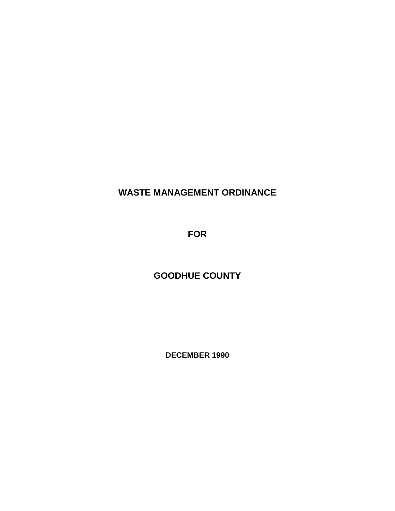# **WASTE MANAGEMENT ORDINANCE**

**FOR**

# **GOODHUE COUNTY**

**DECEMBER 1990**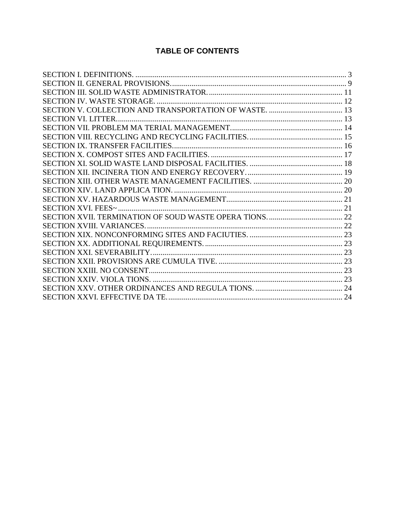# **TABLE OF CONTENTS**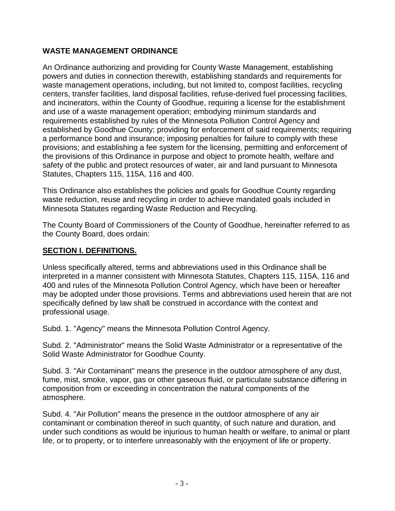# **WASTE MANAGEMENT ORDINANCE**

An Ordinance authorizing and providing for County Waste Management, establishing powers and duties in connection therewith, establishing standards and requirements for waste management operations, including, but not limited to, compost facilities, recycling centers, transfer facilities, land disposal facilities, refuse-derived fuel processing facilities, and incinerators, within the County of Goodhue, requiring a license for the establishment and use of a waste management operation; embodying minimum standards and requirements established by rules of the Minnesota Pollution Control Agency and established by Goodhue County; providing for enforcement of said requirements; requiring a performance bond and insurance; imposing penalties for failure to comply with these provisions; and establishing a fee system for the licensing, permitting and enforcement of the provisions of this Ordinance in purpose and object to promote health, welfare and safety of the public and protect resources of water, air and land pursuant to Minnesota Statutes, Chapters 115, 115A, 116 and 400.

This Ordinance also establishes the policies and goals for Goodhue County regarding waste reduction, reuse and recycling in order to achieve mandated goals included in Minnesota Statutes regarding Waste Reduction and Recycling.

The County Board of Commissioners of the County of Goodhue, hereinafter referred to as the County Board, does ordain:

#### <span id="page-2-0"></span>**SECTION I. DEFINITIONS.**

Unless specifically altered, terms and abbreviations used in this Ordinance shall be interpreted in a manner consistent with Minnesota Statutes, Chapters 115, 115A, 116 and 400 and rules of the Minnesota Pollution Control Agency, which have been or hereafter may be adopted under those provisions. Terms and abbreviations used herein that are not specifically defined by law shall be construed in accordance with the context and professional usage.

Subd. 1. "Agency" means the Minnesota Pollution Control Agency.

Subd. 2. "Administrator" means the Solid Waste Administrator or a representative of the Solid Waste Administrator for Goodhue County.

Subd. 3. "Air Contaminant" means the presence in the outdoor atmosphere of any dust, fume, mist, smoke, vapor, gas or other gaseous fluid, or particulate substance differing in composition from or exceeding in concentration the natural components of the atmosphere.

Subd. 4. "Air Pollution" means the presence in the outdoor atmosphere of any air contaminant or combination thereof in such quantity, of such nature and duration, and under such conditions as would be injurious to human health or welfare, to animal or plant life, or to property, or to interfere unreasonably with the enjoyment of life or property.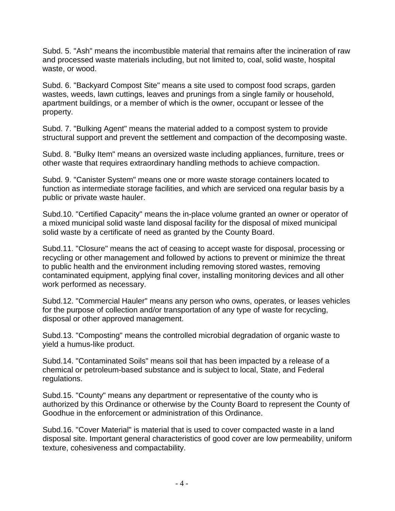Subd. 5. "Ash" means the incombustible material that remains after the incineration of raw and processed waste materials including, but not limited to, coal, solid waste, hospital waste, or wood.

Subd. 6. "Backyard Compost Site" means a site used to compost food scraps, garden wastes, weeds, lawn cuttings, leaves and prunings from a single family or household, apartment buildings, or a member of which is the owner, occupant or lessee of the property.

Subd. 7. "Bulking Agent" means the material added to a compost system to provide structural support and prevent the settlement and compaction of the decomposing waste.

Subd. 8. "Bulky Item" means an oversized waste including appliances, furniture, trees or other waste that requires extraordinary handling methods to achieve compaction.

Subd. 9. "Canister System" means one or more waste storage containers located to function as intermediate storage facilities, and which are serviced ona regular basis by a public or private waste hauler.

Subd.10. "Certified Capacity" means the in-place volume granted an owner or operator of a mixed municipal solid waste land disposal facility for the disposal of mixed municipal solid waste by a certificate of need as granted by the County Board.

Subd.11. "Closure" means the act of ceasing to accept waste for disposal, processing or recycling or other management and followed by actions to prevent or minimize the threat to public health and the environment including removing stored wastes, removing contaminated equipment, applying final cover, installing monitoring devices and all other work performed as necessary.

Subd.12. "Commercial Hauler" means any person who owns, operates, or leases vehicles for the purpose of collection and/or transportation of any type of waste for recycling, disposal or other approved management.

Subd.13. "Composting" means the controlled microbial degradation of organic waste to yield a humus-like product.

Subd.14. "Contaminated Soils" means soil that has been impacted by a release of a chemical or petroleum-based substance and is subject to local, State, and Federal regulations.

Subd.15. "County" means any department or representative of the county who is authorized by this Ordinance or otherwise by the County Board to represent the County of Goodhue in the enforcement or administration of this Ordinance.

Subd.16. "Cover Material" is material that is used to cover compacted waste in a land disposal site. Important general characteristics of good cover are low permeability, uniform texture, cohesiveness and compactability.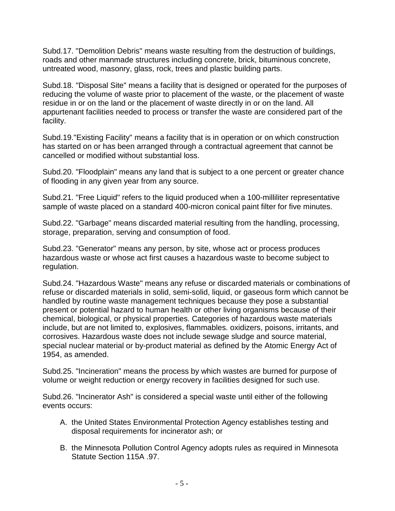Subd.17. "Demolition Debris" means waste resulting from the destruction of buildings, roads and other manmade structures including concrete, brick, bituminous concrete, untreated wood, masonry, glass, rock, trees and plastic building parts.

Subd.18. "Disposal Site" means a facility that is designed or operated for the purposes of reducing the volume of waste prior to placement of the waste, or the placement of waste residue in or on the land or the placement of waste directly in or on the land. All appurtenant facilities needed to process or transfer the waste are considered part of the facility.

Subd.19."Existing Facility" means a facility that is in operation or on which construction has started on or has been arranged through a contractual agreement that cannot be cancelled or modified without substantial loss.

Subd.20. "Floodplain" means any land that is subject to a one percent or greater chance of flooding in any given year from any source.

Subd.21. "Free Liquid" refers to the liquid produced when a 100-milliliter representative sample of waste placed on a standard 400-micron conical paint filter for five minutes.

Subd.22. "Garbage" means discarded material resulting from the handling, processing, storage, preparation, serving and consumption of food.

Subd.23. "Generator" means any person, by site, whose act or process produces hazardous waste or whose act first causes a hazardous waste to become subject to regulation.

Subd.24. "Hazardous Waste" means any refuse or discarded materials or combinations of refuse or discarded materials in solid, semi-solid, liquid, or gaseous form which cannot be handled by routine waste management techniques because they pose a substantial present or potential hazard to human health or other living organisms because of their chemical, biological, or physical properties. Categories of hazardous waste materials include, but are not limited to, explosives, flammables. oxidizers, poisons, irritants, and corrosives. Hazardous waste does not include sewage sludge and source material, special nuclear material or by-product material as defined by the Atomic Energy Act of 1954, as amended.

Subd.25. "Incineration" means the process by which wastes are burned for purpose of volume or weight reduction or energy recovery in facilities designed for such use.

Subd.26. "Incinerator Ash" is considered a special waste until either of the following events occurs:

- A. the United States Environmental Protection Agency establishes testing and disposal requirements for incinerator ash; or
- B. the Minnesota Pollution Control Agency adopts rules as required in Minnesota Statute Section 115A .97.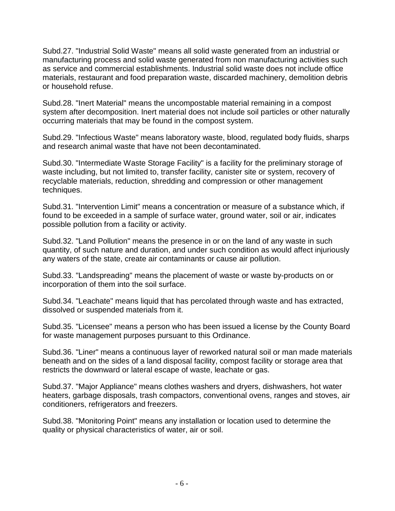Subd.27. "Industrial Solid Waste" means all solid waste generated from an industrial or manufacturing process and solid waste generated from non manufacturing activities such as service and commercial establishments. Industrial solid waste does not include office materials, restaurant and food preparation waste, discarded machinery, demolition debris or household refuse.

Subd.28. "Inert Material" means the uncompostable material remaining in a compost system after decomposition. Inert material does not include soil particles or other naturally occurring materials that may be found in the compost system.

Subd.29. "Infectious Waste" means laboratory waste, blood, regulated body fluids, sharps and research animal waste that have not been decontaminated.

Subd.30. "Intermediate Waste Storage Facility" is a facility for the preliminary storage of waste including, but not limited to, transfer facility, canister site or system, recovery of recyclable materials, reduction, shredding and compression or other management techniques.

Subd.31. "Intervention Limit" means a concentration or measure of a substance which, if found to be exceeded in a sample of surface water, ground water, soil or air, indicates possible pollution from a facility or activity.

Subd.32. "Land Pollution" means the presence in or on the land of any waste in such quantity, of such nature and duration, and under such condition as would affect injuriously any waters of the state, create air contaminants or cause air pollution.

Subd.33. "Landspreading" means the placement of waste or waste by-products on or incorporation of them into the soil surface.

Subd.34. "Leachate" means liquid that has percolated through waste and has extracted, dissolved or suspended materials from it.

Subd.35. "Licensee" means a person who has been issued a license by the County Board for waste management purposes pursuant to this Ordinance.

Subd.36. "Liner" means a continuous layer of reworked natural soil or man made materials beneath and on the sides of a land disposal facility, compost facility or storage area that restricts the downward or lateral escape of waste, leachate or gas.

Subd.37. "Major Appliance" means clothes washers and dryers, dishwashers, hot water heaters, garbage disposals, trash compactors, conventional ovens, ranges and stoves, air conditioners, refrigerators and freezers.

Subd.38. "Monitoring Point" means any installation or location used to determine the quality or physical characteristics of water, air or soil.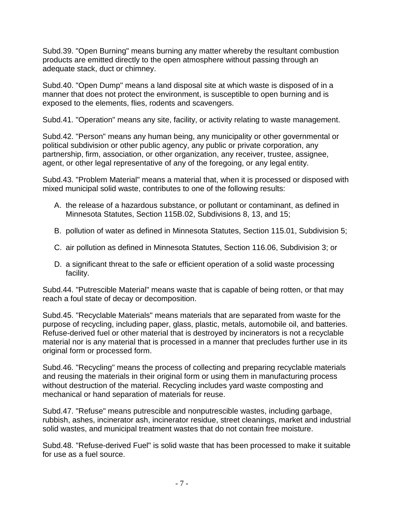Subd.39. "Open Burning" means burning any matter whereby the resultant combustion products are emitted directly to the open atmosphere without passing through an adequate stack, duct or chimney.

Subd.40. "Open Dump" means a land disposal site at which waste is disposed of in a manner that does not protect the environment, is susceptible to open burning and is exposed to the elements, flies, rodents and scavengers.

Subd.41. "Operation" means any site, facility, or activity relating to waste management.

Subd.42. "Person" means any human being, any municipality or other governmental or political subdivision or other public agency, any public or private corporation, any partnership, firm, association, or other organization, any receiver, trustee, assignee, agent, or other legal representative of any of the foregoing, or any legal entity.

Subd.43. "Problem Material" means a material that, when it is processed or disposed with mixed municipal solid waste, contributes to one of the following results:

- A. the release of a hazardous substance, or pollutant or contaminant, as defined in Minnesota Statutes, Section 115B.02, Subdivisions 8, 13, and 15;
- B. pollution of water as defined in Minnesota Statutes, Section 115.01, Subdivision 5;
- C. air pollution as defined in Minnesota Statutes, Section 116.06, Subdivision 3; or
- D. a significant threat to the safe or efficient operation of a solid waste processing facility.

Subd.44. "Putrescible Material" means waste that is capable of being rotten, or that may reach a foul state of decay or decomposition.

Subd.45. "Recyclable Materials" means materials that are separated from waste for the purpose of recycling, including paper, glass, plastic, metals, automobile oil, and batteries. Refuse-derived fuel or other material that is destroyed by incinerators is not a recyclable material nor is any material that is processed in a manner that precludes further use in its original form or processed form.

Subd.46. "Recycling" means the process of collecting and preparing recyclable materials and reusing the materials in their original form or using them in manufacturing process without destruction of the material. Recycling includes yard waste composting and mechanical or hand separation of materials for reuse.

Subd.47. "Refuse" means putrescible and nonputrescible wastes, including garbage, rubbish, ashes, incinerator ash, incinerator residue, street cleanings, market and industrial solid wastes, and municipal treatment wastes that do not contain free moisture.

Subd.48. "Refuse-derived Fuel" is solid waste that has been processed to make it suitable for use as a fuel source.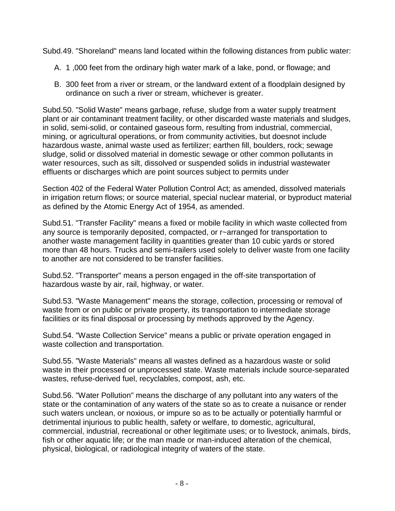Subd.49. "Shoreland" means land located within the following distances from public water:

- A. 1 ,000 feet from the ordinary high water mark of a lake, pond, or flowage; and
- B. 300 feet from a river or stream, or the landward extent of a floodplain designed by ordinance on such a river or stream, whichever is greater.

Subd.50. "Solid Waste" means garbage, refuse, sludge from a water supply treatment plant or air contaminant treatment facility, or other discarded waste materials and sludges, in solid, semi-solid, or contained gaseous form, resulting from industrial, commercial, mining, or agricultural operations, or from community activities, but doesnot include hazardous waste, animal waste used as fertilizer; earthen fill, boulders, rock; sewage sludge, solid or dissolved material in domestic sewage or other common pollutants in water resources, such as silt, dissolved or suspended solids in industrial wastewater effluents or discharges which are point sources subject to permits under

Section 402 of the Federal Water Pollution Control Act; as amended, dissolved materials in irrigation return flows; or source material, special nuclear material, or byproduct material as defined by the Atomic Energy Act of 1954, as amended.

Subd.51. "Transfer Facility" means a fixed or mobile facility in which waste collected from any source is temporarily deposited, compacted, or r~arranged for transportation to another waste management facility in quantities greater than 10 cubic yards or stored more than 48 hours. Trucks and semi-trailers used solely to deliver waste from one facility to another are not considered to be transfer facilities.

Subd.52. "Transporter" means a person engaged in the off-site transportation of hazardous waste by air, rail, highway, or water.

Subd.53. "Waste Management" means the storage, collection, processing or removal of waste from or on public or private property, its transportation to intermediate storage facilities or its final disposal or processing by methods approved by the Agency.

Subd.54. "Waste Collection Service" means a public or private operation engaged in waste collection and transportation.

Subd.55. "Waste Materials" means all wastes defined as a hazardous waste or solid waste in their processed or unprocessed state. Waste materials include source-separated wastes, refuse-derived fuel, recyclables, compost, ash, etc.

Subd.56. "Water Pollution" means the discharge of any pollutant into any waters of the state or the contamination of any waters of the state so as to create a nuisance or render such waters unclean, or noxious, or impure so as to be actually or potentially harmful or detrimental injurious to public health, safety or welfare, to domestic, agricultural, commercial, industrial, recreational or other legitimate uses; or to livestock, animals, birds, fish or other aquatic life; or the man made or man-induced alteration of the chemical, physical, biological, or radiological integrity of waters of the state.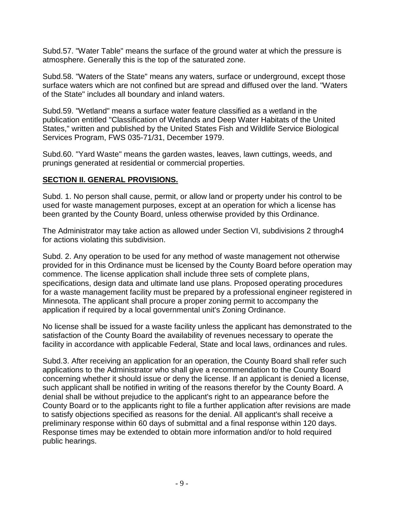Subd.57. "Water Table" means the surface of the ground water at which the pressure is atmosphere. Generally this is the top of the saturated zone.

Subd.58. "Waters of the State" means any waters, surface or underground, except those surface waters which are not confined but are spread and diffused over the land. "Waters of the State" includes all boundary and inland waters.

Subd.59. "Wetland" means a surface water feature classified as a wetland in the publication entitled "Classification of Wetlands and Deep Water Habitats of the United States," written and published by the United States Fish and Wildlife Service Biological Services Program, FWS 035-71/31, December 1979.

Subd.60. "Yard Waste" means the garden wastes, leaves, lawn cuttings, weeds, and prunings generated at residential or commercial properties.

#### <span id="page-8-0"></span>**SECTION II. GENERAL PROVISIONS.**

Subd. 1. No person shall cause, permit, or allow land or property under his control to be used for waste management purposes, except at an operation for which a license has been granted by the County Board, unless otherwise provided by this Ordinance.

The Administrator may take action as allowed under Section VI, subdivisions 2 through4 for actions violating this subdivision.

Subd. 2. Any operation to be used for any method of waste management not otherwise provided for in this Ordinance must be licensed by the County Board before operation may commence. The license application shall include three sets of complete plans, specifications, design data and ultimate land use plans. Proposed operating procedures for a waste management facility must be prepared by a professional engineer registered in Minnesota. The applicant shall procure a proper zoning permit to accompany the application if required by a local governmental unit's Zoning Ordinance.

No license shall be issued for a waste facility unless the applicant has demonstrated to the satisfaction of the County Board the availability of revenues necessary to operate the facility in accordance with applicable Federal, State and local laws, ordinances and rules.

Subd.3. After receiving an application for an operation, the County Board shall refer such applications to the Administrator who shall give a recommendation to the County Board concerning whether it should issue or deny the license. If an applicant is denied a license, such applicant shall be notified in writing of the reasons therefor by the County Board. A denial shall be without prejudice to the applicant's right to an appearance before the County Board or to the applicants right to file a further application after revisions are made to satisfy objections specified as reasons for the denial. All applicant's shall receive a preliminary response within 60 days of submittal and a final response within 120 days. Response times may be extended to obtain more information and/or to hold required public hearings.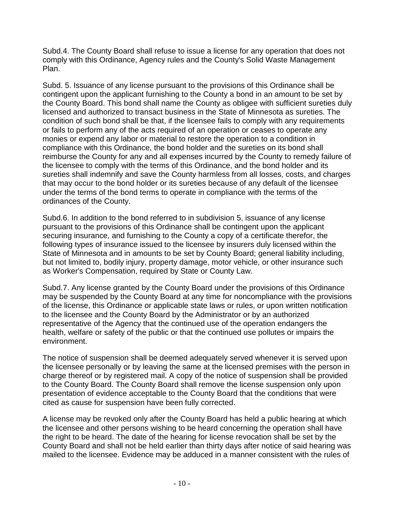Subd.4. The County Board shall refuse to issue a license for any operation that does not comply with this Ordinance, Agency rules and the County's Solid Waste Management Plan.

Subd. 5. Issuance of any license pursuant to the provisions of this Ordinance shall be contingent upon the applicant furnishing to the County a bond in an amount to be set by the County Board. This bond shall name the County as obligee with sufficient sureties duly licensed and authorized to transact business in the State of Minnesota as sureties. The condition of such bond shall be that, if the licensee fails to comply with any requirements or fails to perform any of the acts required of an operation or ceases to operate any monies or expend any labor or material to restore the operation to a condition in compliance with this Ordinance, the bond holder and the sureties on its bond shall reimburse the County for any and all expenses incurred by the County to remedy failure of the licensee to comply with the terms of this Ordinance, and the bond holder and its sureties shall indemnify and save the County harmless from all losses, costs, and charges that may occur to the bond holder or its sureties because of any default of the licensee under the terms of the bond terms to operate in compliance with the terms of the ordinances of the County.

Subd.6. In addition to the bond referred to in subdivision 5, issuance of any license pursuant to the provisions of this Ordinance shall be contingent upon the applicant securing insurance, and furnishing to the County a copy of a certificate therefor, the following types of insurance issued to the licensee by insurers duly licensed within the State of Minnesota and in amounts to be set by County Board; general liability including, but not limited to, bodily injury, property damage, motor vehicle, or other insurance such as Worker's Compensation, required by State or County Law.

Subd.7. Any license granted by the County Board under the provisions of this Ordinance may be suspended by the County Board at any time for noncompliance with the provisions of the license, this Ordinance or applicable state laws or rules, or upon written notification to the licensee and the County Board by the Administrator or by an authorized representative of the Agency that the continued use of the operation endangers the health, welfare or safety of the public or that the continued use pollutes or impairs the environment.

The notice of suspension shall be deemed adequately served whenever it is served upon the licensee personally or by leaving the same at the licensed premises with the person in charge thereof or by registered mail. A copy of the notice of suspension shall be provided to the County Board. The County Board shall remove the license suspension only upon presentation of evidence acceptable to the County Board that the conditions that were cited as cause for suspension have been fully corrected.

A license may be revoked only after the County Board has held a public hearing at which the licensee and other persons wishing to be heard concerning the operation shall have the right to be heard. The date of the hearing for license revocation shall be set by the County Board and shall not be held earlier than thirty days after notice of said hearing was mailed to the licensee. Evidence may be adduced in a manner consistent with the rules of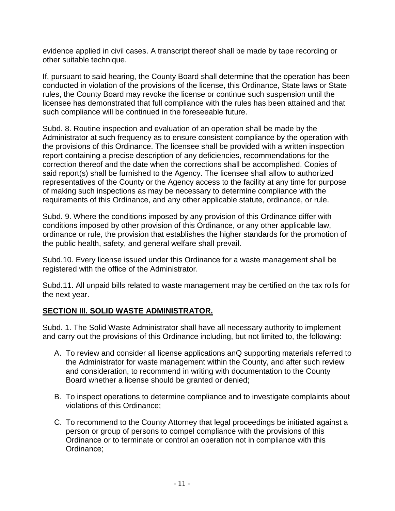evidence applied in civil cases. A transcript thereof shall be made by tape recording or other suitable technique.

If, pursuant to said hearing, the County Board shall determine that the operation has been conducted in violation of the provisions of the license, this Ordinance, State laws or State rules, the County Board may revoke the license or continue such suspension until the licensee has demonstrated that full compliance with the rules has been attained and that such compliance will be continued in the foreseeable future.

Subd. 8. Routine inspection and evaluation of an operation shall be made by the Administrator at such frequency as to ensure consistent compliance by the operation with the provisions of this Ordinance. The licensee shall be provided with a written inspection report containing a precise description of any deficiencies, recommendations for the correction thereof and the date when the corrections shall be accomplished. Copies of said report(s) shall be furnished to the Agency. The licensee shall allow to authorized representatives of the County or the Agency access to the facility at any time for purpose of making such inspections as may be necessary to determine compliance with the requirements of this Ordinance, and any other applicable statute, ordinance, or rule.

Subd. 9. Where the conditions imposed by any provision of this Ordinance differ with conditions imposed by other provision of this Ordinance, or any other applicable law, ordinance or rule, the provision that establishes the higher standards for the promotion of the public health, safety, and general welfare shall prevail.

Subd.10. Every license issued under this Ordinance for a waste management shall be registered with the office of the Administrator.

Subd.11. All unpaid bills related to waste management may be certified on the tax rolls for the next year.

#### <span id="page-10-0"></span>**SECTION III. SOLID WASTE ADMINISTRATOR.**

Subd. 1. The Solid Waste Administrator shall have all necessary authority to implement and carry out the provisions of this Ordinance including, but not limited to, the following:

- A. To review and consider all license applications anQ supporting materials referred to the Administrator for waste management within the County, and after such review and consideration, to recommend in writing with documentation to the County Board whether a license should be granted or denied;
- B. To inspect operations to determine compliance and to investigate complaints about violations of this Ordinance;
- C. To recommend to the County Attorney that legal proceedings be initiated against a person or group of persons to compel compliance with the provisions of this Ordinance or to terminate or control an operation not in compliance with this Ordinance;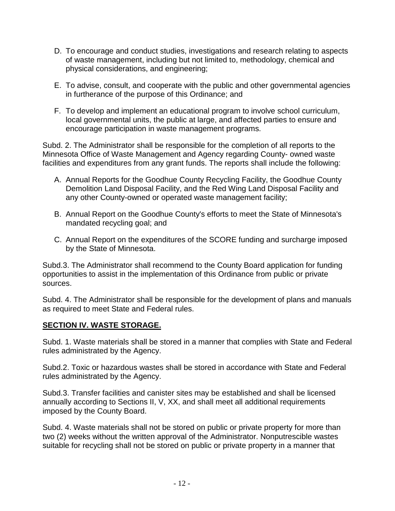- D. To encourage and conduct studies, investigations and research relating to aspects of waste management, including but not limited to, methodology, chemical and physical considerations, and engineering;
- E. To advise, consult, and cooperate with the public and other governmental agencies in furtherance of the purpose of this Ordinance; and
- F. To develop and implement an educational program to involve school curriculum, local governmental units, the public at large, and affected parties to ensure and encourage participation in waste management programs.

Subd. 2. The Administrator shall be responsible for the completion of all reports to the Minnesota Office of Waste Management and Agency regarding County- owned waste facilities and expenditures from any grant funds. The reports shall include the following:

- A. Annual Reports for the Goodhue County Recycling Facility, the Goodhue County Demolition Land Disposal Facility, and the Red Wing Land Disposal Facility and any other County-owned or operated waste management facility;
- B. Annual Report on the Goodhue County's efforts to meet the State of Minnesota's mandated recycling goal; and
- C. Annual Report on the expenditures of the SCORE funding and surcharge imposed by the State of Minnesota.

Subd.3. The Administrator shall recommend to the County Board application for funding opportunities to assist in the implementation of this Ordinance from public or private sources.

Subd. 4. The Administrator shall be responsible for the development of plans and manuals as required to meet State and Federal rules.

#### <span id="page-11-0"></span>**SECTION IV. WASTE STORAGE.**

Subd. 1. Waste materials shall be stored in a manner that complies with State and Federal rules administrated by the Agency.

Subd.2. Toxic or hazardous wastes shall be stored in accordance with State and Federal rules administrated by the Agency.

Subd.3. Transfer facilities and canister sites may be established and shall be licensed annually according to Sections II, V, XX, and shall meet all additional requirements imposed by the County Board.

Subd. 4. Waste materials shall not be stored on public or private property for more than two (2) weeks without the written approval of the Administrator. Nonputrescible wastes suitable for recycling shall not be stored on public or private property in a manner that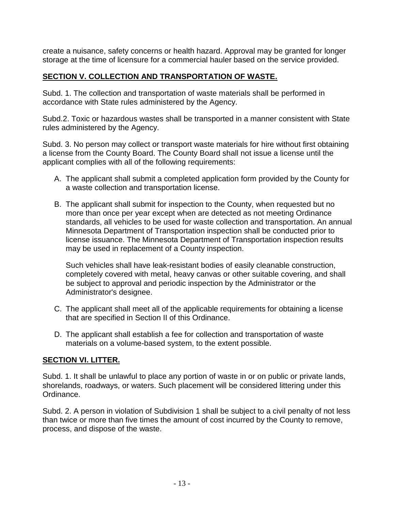create a nuisance, safety concerns or health hazard. Approval may be granted for longer storage at the time of licensure for a commercial hauler based on the service provided.

#### <span id="page-12-0"></span>**SECTION V. COLLECTION AND TRANSPORTATION OF WASTE.**

Subd. 1. The collection and transportation of waste materials shall be performed in accordance with State rules administered by the Agency.

Subd.2. Toxic or hazardous wastes shall be transported in a manner consistent with State rules administered by the Agency.

Subd. 3. No person may collect or transport waste materials for hire without first obtaining a license from the County Board. The County Board shall not issue a license until the applicant complies with all of the following requirements:

- A. The applicant shall submit a completed application form provided by the County for a waste collection and transportation license.
- B. The applicant shall submit for inspection to the County, when requested but no more than once per year except when are detected as not meeting Ordinance standards, all vehicles to be used for waste collection and transportation. An annual Minnesota Department of Transportation inspection shall be conducted prior to license issuance. The Minnesota Department of Transportation inspection results may be used in replacement of a County inspection.

Such vehicles shall have leak-resistant bodies of easily cleanable construction, completely covered with metal, heavy canvas or other suitable covering, and shall be subject to approval and periodic inspection by the Administrator or the Administrator's designee.

- C. The applicant shall meet all of the applicable requirements for obtaining a license that are specified in Section II of this Ordinance.
- D. The applicant shall establish a fee for collection and transportation of waste materials on a volume-based system, to the extent possible.

#### <span id="page-12-1"></span>**SECTION VI. LITTER.**

Subd. 1. It shall be unlawful to place any portion of waste in or on public or private lands, shorelands, roadways, or waters. Such placement will be considered littering under this Ordinance.

Subd. 2. A person in violation of Subdivision 1 shall be subject to a civil penalty of not less than twice or more than five times the amount of cost incurred by the County to remove, process, and dispose of the waste.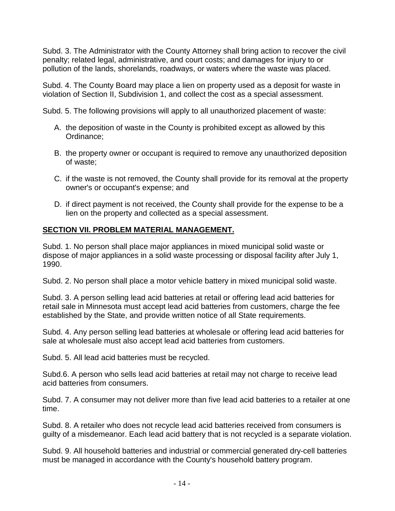Subd. 3. The Administrator with the County Attorney shall bring action to recover the civil penalty; related legal, administrative, and court costs; and damages for injury to or pollution of the lands, shorelands, roadways, or waters where the waste was placed.

Subd. 4. The County Board may place a lien on property used as a deposit for waste in violation of Section II, Subdivision 1, and collect the cost as a special assessment.

Subd. 5. The following provisions will apply to all unauthorized placement of waste:

- A. the deposition of waste in the County is prohibited except as allowed by this Ordinance;
- B. the property owner or occupant is required to remove any unauthorized deposition of waste;
- C. if the waste is not removed, the County shall provide for its removal at the property owner's or occupant's expense; and
- D. if direct payment is not received, the County shall provide for the expense to be a lien on the property and collected as a special assessment.

# <span id="page-13-0"></span>**SECTION VII. PROBLEM MATERIAL MANAGEMENT.**

Subd. 1. No person shall place major appliances in mixed municipal solid waste or dispose of major appliances in a solid waste processing or disposal facility after July 1, 1990.

Subd. 2. No person shall place a motor vehicle battery in mixed municipal solid waste.

Subd. 3. A person selling lead acid batteries at retail or offering lead acid batteries for retail sale in Minnesota must accept lead acid batteries from customers, charge the fee established by the State, and provide written notice of all State requirements.

Subd. 4. Any person selling lead batteries at wholesale or offering lead acid batteries for sale at wholesale must also accept lead acid batteries from customers.

Subd. 5. All lead acid batteries must be recycled.

Subd.6. A person who sells lead acid batteries at retail may not charge to receive lead acid batteries from consumers.

Subd. 7. A consumer may not deliver more than five lead acid batteries to a retailer at one time.

Subd. 8. A retailer who does not recycle lead acid batteries received from consumers is guilty of a misdemeanor. Each lead acid battery that is not recycled is a separate violation.

Subd. 9. All household batteries and industrial or commercial generated dry-cell batteries must be managed in accordance with the County's household battery program.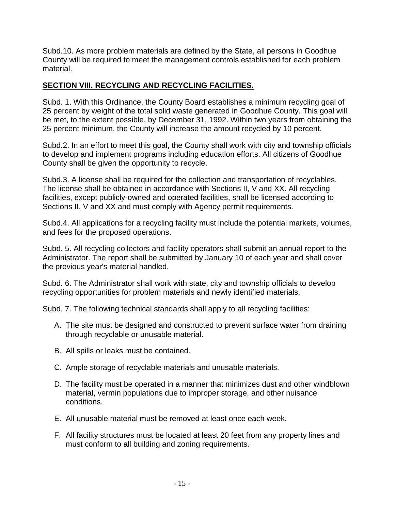Subd.10. As more problem materials are defined by the State, all persons in Goodhue County will be required to meet the management controls established for each problem material.

# <span id="page-14-0"></span>**SECTION VIII. RECYCLING AND RECYCLING FACILITIES.**

Subd. 1. With this Ordinance, the County Board establishes a minimum recycling goal of 25 percent by weight of the total solid waste generated in Goodhue County. This goal will be met, to the extent possible, by December 31, 1992. Within two years from obtaining the 25 percent minimum, the County will increase the amount recycled by 10 percent.

Subd.2. In an effort to meet this goal, the County shall work with city and township officials to develop and implement programs including education efforts. All citizens of Goodhue County shall be given the opportunity to recycle.

Subd.3. A license shall be required for the collection and transportation of recyclables. The license shall be obtained in accordance with Sections II, V and XX. All recycling facilities, except publicly-owned and operated facilities, shall be licensed according to Sections II, V and XX and must comply with Agency permit requirements.

Subd.4. All applications for a recycling facility must include the potential markets, volumes, and fees for the proposed operations.

Subd. 5. All recycling collectors and facility operators shall submit an annual report to the Administrator. The report shall be submitted by January 10 of each year and shall cover the previous year's material handled.

Subd. 6. The Administrator shall work with state, city and township officials to develop recycling opportunities for problem materials and newly identified materials.

Subd. 7. The following technical standards shall apply to all recycling facilities:

- A. The site must be designed and constructed to prevent surface water from draining through recyclable or unusable material.
- B. All spills or leaks must be contained.
- C. Ample storage of recyclable materials and unusable materials.
- D. The facility must be operated in a manner that minimizes dust and other windblown material, vermin populations due to improper storage, and other nuisance conditions.
- E. All unusable material must be removed at least once each week.
- F. All facility structures must be located at least 20 feet from any property lines and must conform to all building and zoning requirements.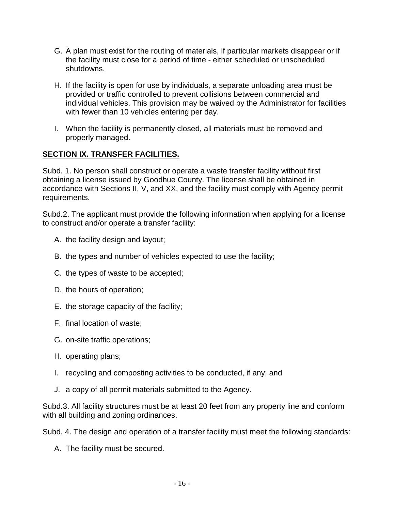- G. A plan must exist for the routing of materials, if particular markets disappear or if the facility must close for a period of time - either scheduled or unscheduled shutdowns.
- H. If the facility is open for use by individuals, a separate unloading area must be provided or traffic controlled to prevent collisions between commercial and individual vehicles. This provision may be waived by the Administrator for facilities with fewer than 10 vehicles entering per day.
- I. When the facility is permanently closed, all materials must be removed and properly managed.

# <span id="page-15-0"></span>**SECTION IX. TRANSFER FACILITIES.**

Subd. 1. No person shall construct or operate a waste transfer facility without first obtaining a license issued by Goodhue County. The license shall be obtained in accordance with Sections II, V, and XX, and the facility must comply with Agency permit requirements.

Subd.2. The applicant must provide the following information when applying for a license to construct and/or operate a transfer facility:

- A. the facility design and layout;
- B. the types and number of vehicles expected to use the facility;
- C. the types of waste to be accepted;
- D. the hours of operation;
- E. the storage capacity of the facility;
- F. final location of waste;
- G. on-site traffic operations;
- H. operating plans;
- I. recycling and composting activities to be conducted, if any; and
- J. a copy of all permit materials submitted to the Agency.

Subd.3. All facility structures must be at least 20 feet from any property line and conform with all building and zoning ordinances.

Subd. 4. The design and operation of a transfer facility must meet the following standards:

A. The facility must be secured.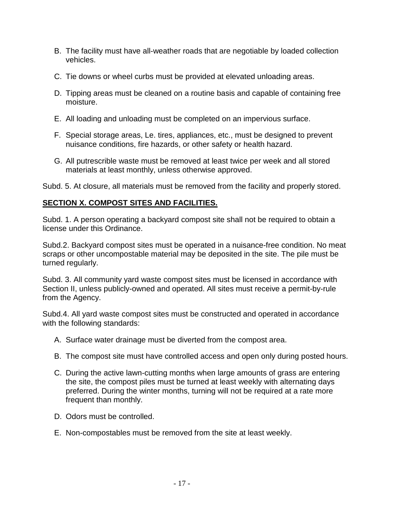- B. The facility must have all-weather roads that are negotiable by loaded collection vehicles.
- C. Tie downs or wheel curbs must be provided at elevated unloading areas.
- D. Tipping areas must be cleaned on a routine basis and capable of containing free moisture.
- E. All loading and unloading must be completed on an impervious surface.
- F. Special storage areas, Le. tires, appliances, etc., must be designed to prevent nuisance conditions, fire hazards, or other safety or health hazard.
- G. All putrescrible waste must be removed at least twice per week and all stored materials at least monthly, unless otherwise approved.

Subd. 5. At closure, all materials must be removed from the facility and properly stored.

# <span id="page-16-0"></span>**SECTION X. COMPOST SITES AND FACILITIES.**

Subd. 1. A person operating a backyard compost site shall not be required to obtain a license under this Ordinance.

Subd.2. Backyard compost sites must be operated in a nuisance-free condition. No meat scraps or other uncompostable material may be deposited in the site. The pile must be turned regularly.

Subd. 3. All community yard waste compost sites must be licensed in accordance with Section II, unless publicly-owned and operated. All sites must receive a permit-by-rule from the Agency.

Subd.4. All yard waste compost sites must be constructed and operated in accordance with the following standards:

- A. Surface water drainage must be diverted from the compost area.
- B. The compost site must have controlled access and open only during posted hours.
- C. During the active lawn-cutting months when large amounts of grass are entering the site, the compost piles must be turned at least weekly with alternating days preferred. During the winter months, turning will not be required at a rate more frequent than monthly.
- D. Odors must be controlled.
- E. Non-compostables must be removed from the site at least weekly.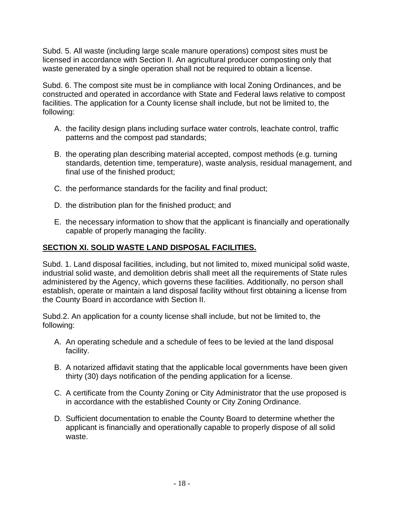Subd. 5. All waste (including large scale manure operations) compost sites must be licensed in accordance with Section II. An agricultural producer composting only that waste generated by a single operation shall not be required to obtain a license.

Subd. 6. The compost site must be in compliance with local Zoning Ordinances, and be constructed and operated in accordance with State and Federal laws relative to compost facilities. The application for a County license shall include, but not be limited to, the following:

- A. the facility design plans including surface water controls, leachate control, traffic patterns and the compost pad standards;
- B. the operating plan describing material accepted, compost methods (e.g. turning standards, detention time, temperature), waste analysis, residual management, and final use of the finished product;
- C. the performance standards for the facility and final product;
- D. the distribution plan for the finished product; and
- E. the necessary information to show that the applicant is financially and operationally capable of properly managing the facility.

# <span id="page-17-0"></span>**SECTION XI. SOLID WASTE LAND DISPOSAL FACILITIES.**

Subd. 1. Land disposal facilities, including, but not limited to, mixed municipal solid waste, industrial solid waste, and demolition debris shall meet all the requirements of State rules administered by the Agency, which governs these facilities. Additionally, no person shall establish, operate or maintain a land disposal facility without first obtaining a license from the County Board in accordance with Section II.

Subd.2. An application for a county license shall include, but not be limited to, the following:

- A. An operating schedule and a schedule of fees to be levied at the land disposal facility.
- B. A notarized affidavit stating that the applicable local governments have been given thirty (30) days notification of the pending application for a license.
- C. A certificate from the County Zoning or City Administrator that the use proposed is in accordance with the established County or City Zoning Ordinance.
- D. Sufficient documentation to enable the County Board to determine whether the applicant is financially and operationally capable to properly dispose of all solid waste.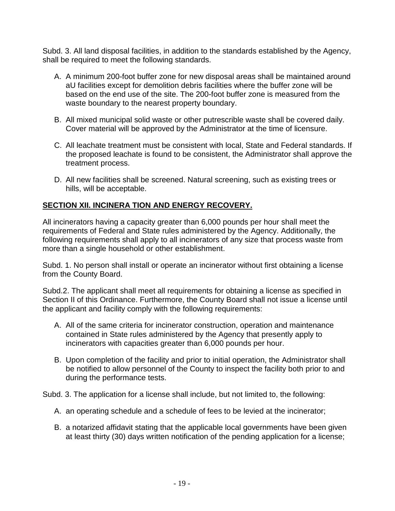Subd. 3. All land disposal facilities, in addition to the standards established by the Agency, shall be required to meet the following standards.

- A. A minimum 200-foot buffer zone for new disposal areas shall be maintained around aU facilities except for demolition debris facilities where the buffer zone will be based on the end use of the site. The 200-foot buffer zone is measured from the waste boundary to the nearest property boundary.
- B. All mixed municipal solid waste or other putrescrible waste shall be covered daily. Cover material will be approved by the Administrator at the time of licensure.
- C. All leachate treatment must be consistent with local, State and Federal standards. If the proposed leachate is found to be consistent, the Administrator shall approve the treatment process.
- D. All new facilities shall be screened. Natural screening, such as existing trees or hills, will be acceptable.

# <span id="page-18-0"></span>**SECTION XII. INCINERA TION AND ENERGY RECOVERY.**

All incinerators having a capacity greater than 6,000 pounds per hour shall meet the requirements of Federal and State rules administered by the Agency. Additionally, the following requirements shall apply to all incinerators of any size that process waste from more than a single household or other establishment.

Subd. 1. No person shall install or operate an incinerator without first obtaining a license from the County Board.

Subd.2. The applicant shall meet all requirements for obtaining a license as specified in Section II of this Ordinance. Furthermore, the County Board shall not issue a license until the applicant and facility comply with the following requirements:

- A. All of the same criteria for incinerator construction, operation and maintenance contained in State rules administered by the Agency that presently apply to incinerators with capacities greater than 6,000 pounds per hour.
- B. Upon completion of the facility and prior to initial operation, the Administrator shall be notified to allow personnel of the County to inspect the facility both prior to and during the performance tests.

Subd. 3. The application for a license shall include, but not limited to, the following:

- A. an operating schedule and a schedule of fees to be levied at the incinerator;
- B. a notarized affidavit stating that the applicable local governments have been given at least thirty (30) days written notification of the pending application for a license;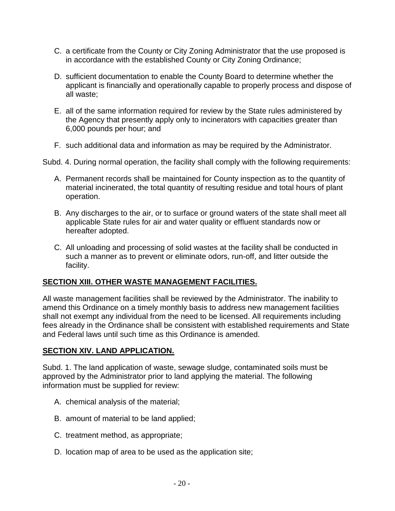- C. a certificate from the County or City Zoning Administrator that the use proposed is in accordance with the established County or City Zoning Ordinance;
- D. sufficient documentation to enable the County Board to determine whether the applicant is financially and operationally capable to properly process and dispose of all waste;
- E. all of the same information required for review by the State rules administered by the Agency that presently apply only to incinerators with capacities greater than 6,000 pounds per hour; and
- F. such additional data and information as may be required by the Administrator.

Subd. 4. During normal operation, the facility shall comply with the following requirements:

- A. Permanent records shall be maintained for County inspection as to the quantity of material incinerated, the total quantity of resulting residue and total hours of plant operation.
- B. Any discharges to the air, or to surface or ground waters of the state shall meet all applicable State rules for air and water quality or effluent standards now or hereafter adopted.
- C. All unloading and processing of solid wastes at the facility shall be conducted in such a manner as to prevent or eliminate odors, run-off, and litter outside the facility.

#### <span id="page-19-0"></span>**SECTION XIII. OTHER WASTE MANAGEMENT FACILITIES.**

All waste management facilities shall be reviewed by the Administrator. The inability to amend this Ordinance on a timely monthly basis to address new management facilities shall not exempt any individual from the need to be licensed. All requirements including fees already in the Ordinance shall be consistent with established requirements and State and Federal laws until such time as this Ordinance is amended.

#### <span id="page-19-1"></span>**SECTION XIV. LAND APPLICATION.**

Subd. 1. The land application of waste, sewage sludge, contaminated soils must be approved by the Administrator prior to land applying the material. The following information must be supplied for review:

- A. chemical analysis of the material;
- B. amount of material to be land applied;
- C. treatment method, as appropriate;
- D. location map of area to be used as the application site;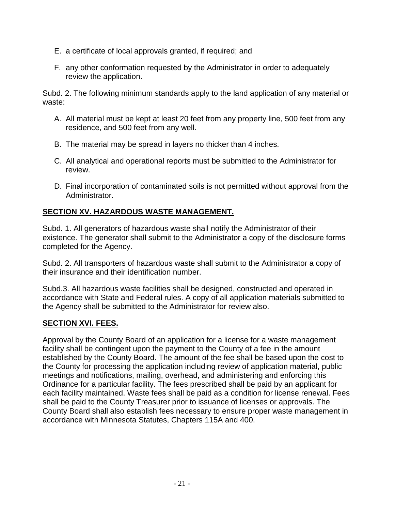- E. a certificate of local approvals granted, if required; and
- F. any other conformation requested by the Administrator in order to adequately review the application.

Subd. 2. The following minimum standards apply to the land application of any material or waste:

- A. All material must be kept at least 20 feet from any property line, 500 feet from any residence, and 500 feet from any well.
- B. The material may be spread in layers no thicker than 4 inches.
- C. All analytical and operational reports must be submitted to the Administrator for review.
- D. Final incorporation of contaminated soils is not permitted without approval from the Administrator.

# <span id="page-20-0"></span>**SECTION XV. HAZARDOUS WASTE MANAGEMENT.**

Subd. 1. All generators of hazardous waste shall notify the Administrator of their existence. The generator shall submit to the Administrator a copy of the disclosure forms completed for the Agency.

Subd. 2. All transporters of hazardous waste shall submit to the Administrator a copy of their insurance and their identification number.

Subd.3. All hazardous waste facilities shall be designed, constructed and operated in accordance with State and Federal rules. A copy of all application materials submitted to the Agency shall be submitted to the Administrator for review also.

#### <span id="page-20-1"></span>**SECTION XVI. FEES.**

Approval by the County Board of an application for a license for a waste management facility shall be contingent upon the payment to the County of a fee in the amount established by the County Board. The amount of the fee shall be based upon the cost to the County for processing the application including review of application material, public meetings and notifications, mailing, overhead, and administering and enforcing this Ordinance for a particular facility. The fees prescribed shall be paid by an applicant for each facility maintained. Waste fees shall be paid as a condition for license renewal. Fees shall be paid to the County Treasurer prior to issuance of licenses or approvals. The County Board shall also establish fees necessary to ensure proper waste management in accordance with Minnesota Statutes, Chapters 115A and 400.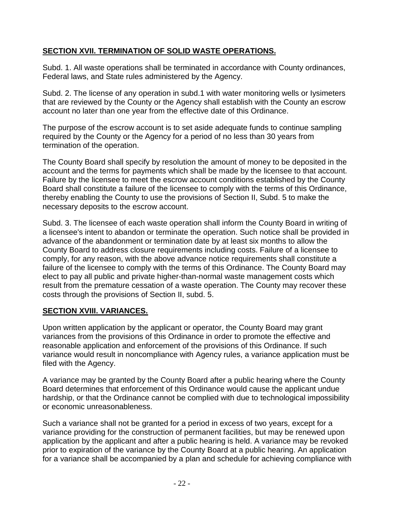# <span id="page-21-0"></span>**SECTION XVII. TERMINATION OF SOLID WASTE OPERATlONS.**

Subd. 1. All waste operations shall be terminated in accordance with County ordinances, Federal laws, and State rules administered by the Agency.

Subd. 2. The license of any operation in subd.1 with water monitoring wells or Iysimeters that are reviewed by the County or the Agency shall establish with the County an escrow account no later than one year from the effective date of this Ordinance.

The purpose of the escrow account is to set aside adequate funds to continue sampling required by the County or the Agency for a period of no less than 30 years from termination of the operation.

The County Board shall specify by resolution the amount of money to be deposited in the account and the terms for payments which shall be made by the licensee to that account. Failure by the licensee to meet the escrow account conditions established by the County Board shall constitute a failure of the licensee to comply with the terms of this Ordinance, thereby enabling the County to use the provisions of Section II, Subd. 5 to make the necessary deposits to the escrow account.

Subd. 3. The licensee of each waste operation shall inform the County Board in writing of a licensee's intent to abandon or terminate the operation. Such notice shall be provided in advance of the abandonment or termination date by at least six months to allow the County Board to address closure requirements including costs. Failure of a licensee to comply, for any reason, with the above advance notice requirements shall constitute a failure of the licensee to comply with the terms of this Ordinance. The County Board may elect to pay all public and private higher-than-normal waste management costs which result from the premature cessation of a waste operation. The County may recover these costs through the provisions of Section II, subd. 5.

#### <span id="page-21-1"></span>**SECTION XVIII. VARIANCES.**

Upon written application by the applicant or operator, the County Board may grant variances from the provisions of this Ordinance in order to promote the effective and reasonable application and enforcement of the provisions of this Ordinance. If such variance would result in noncompliance with Agency rules, a variance application must be filed with the Agency.

A variance may be granted by the County Board after a public hearing where the County Board determines that enforcement of this Ordinance would cause the applicant undue hardship, or that the Ordinance cannot be complied with due to technological impossibility or economic unreasonableness.

Such a variance shall not be granted for a period in excess of two years, except for a variance providing for the construction of permanent facilities, but may be renewed upon application by the applicant and after a public hearing is held. A variance may be revoked prior to expiration of the variance by the County Board at a public hearing. An application for a variance shall be accompanied by a plan and schedule for achieving compliance with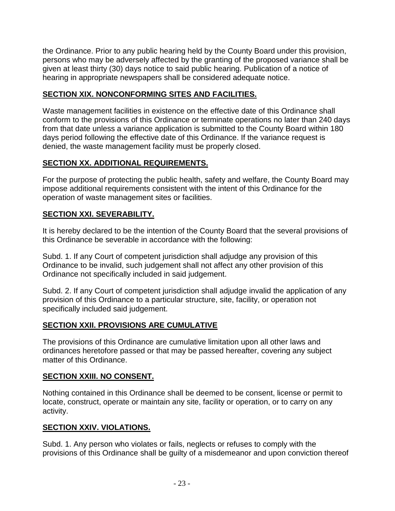the Ordinance. Prior to any public hearing held by the County Board under this provision, persons who may be adversely affected by the granting of the proposed variance shall be given at least thirty (30) days notice to said public hearing. Publication of a notice of hearing in appropriate newspapers shall be considered adequate notice.

# <span id="page-22-0"></span>**SECTION XIX. NONCONFORMING SITES AND FACILITIES.**

Waste management facilities in existence on the effective date of this Ordinance shall conform to the provisions of this Ordinance or terminate operations no later than 240 days from that date unless a variance application is submitted to the County Board within 180 days period following the effective date of this Ordinance. If the variance request is denied, the waste management facility must be properly closed.

# <span id="page-22-1"></span>**SECTION XX. ADDITIONAL REQUIREMENTS.**

For the purpose of protecting the public health, safety and welfare, the County Board may impose additional requirements consistent with the intent of this Ordinance for the operation of waste management sites or facilities.

# <span id="page-22-2"></span>**SECTION XXI. SEVERABILITY.**

It is hereby declared to be the intention of the County Board that the several provisions of this Ordinance be severable in accordance with the following:

Subd. 1. If any Court of competent jurisdiction shall adjudge any provision of this Ordinance to be invalid, such judgement shall not affect any other provision of this Ordinance not specifically included in said judgement.

Subd. 2. If any Court of competent jurisdiction shall adjudge invalid the application of any provision of this Ordinance to a particular structure, site, facility, or operation not specifically included said judgement.

# <span id="page-22-3"></span>**SECTION XXII. PROVISIONS ARE CUMULATIVE**

The provisions of this Ordinance are cumulative limitation upon all other laws and ordinances heretofore passed or that may be passed hereafter, covering any subject matter of this Ordinance.

# <span id="page-22-4"></span>**SECTION XXIII. NO CONSENT.**

Nothing contained in this Ordinance shall be deemed to be consent, license or permit to locate, construct, operate or maintain any site, facility or operation, or to carry on any activity.

# <span id="page-22-5"></span>**SECTION XXIV. VIOLATIONS.**

Subd. 1. Any person who violates or fails, neglects or refuses to comply with the provisions of this Ordinance shall be guilty of a misdemeanor and upon conviction thereof